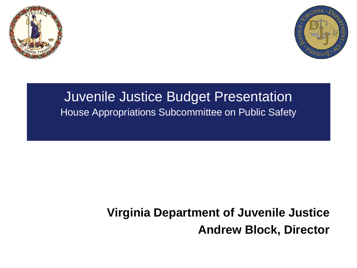



#### Juvenile Justice Budget Presentation House Appropriations Subcommittee on Public Safety

#### **Virginia Department of Juvenile Justice Andrew Block, Director**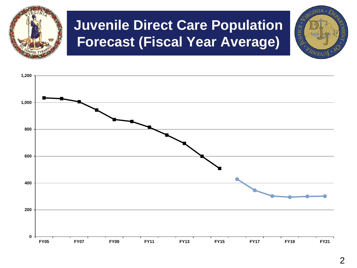

### **Juvenile Direct Care Population Forecast (Fiscal Year Average)**

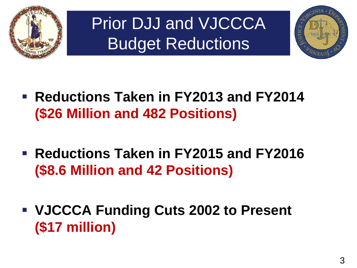

Prior DJJ and VJCCCA Budget Reductions



- **Reductions Taken in FY2013 and FY2014 (\$26 Million and 482 Positions)**
- **Reductions Taken in FY2015 and FY2016 (\$8.6 Million and 42 Positions)**
- **VJCCCA Funding Cuts 2002 to Present (\$17 million)**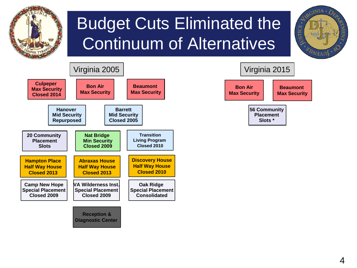

# Budget Cuts Eliminated the Continuum of Alternatives





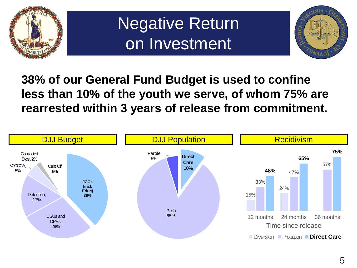

### Negative Return on Investment



#### **38% of our General Fund Budget is used to confine less than 10% of the youth we serve, of whom 75% are rearrested within 3 years of release from commitment.**

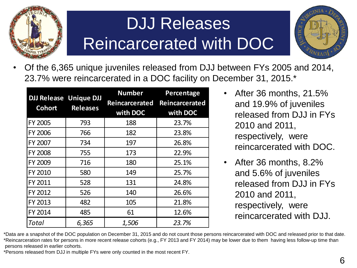

### DJJ Releases Reincarcerated with DOC



• Of the 6,365 unique juveniles released from DJJ between FYs 2005 and 2014, 23.7% were reincarcerated in a DOC facility on December 31, 2015.\*

| <b>DJJ Release Unique DJJ</b><br><b>Cohort</b> | <b>Releases</b> | <b>Number</b><br>Reincarcerated<br>with DOC | Percentage<br>Reincarcerated<br>with DOC |
|------------------------------------------------|-----------------|---------------------------------------------|------------------------------------------|
| FY 2005                                        | 793             | 188                                         | 23.7%                                    |
| FY 2006                                        | 766             | 182                                         | 23.8%                                    |
| FY 2007                                        | 734             | 197                                         | 26.8%                                    |
| <b>FY 2008</b>                                 | 755             | 173                                         | 22.9%                                    |
| FY 2009                                        | 716             | 180                                         | 25.1%                                    |
| FY 2010                                        | 580             | 149                                         | 25.7%                                    |
| FY 2011                                        | 528             | 131                                         | 24.8%                                    |
| FY 2012                                        | 526             | 140                                         | 26.6%                                    |
| FY 2013                                        | 482             | 105                                         | 21.8%                                    |
| FY 2014                                        | 485             | 61                                          | 12.6%                                    |
| Total                                          | 6,365           | 1,506                                       | 23.7%                                    |

- After 36 months, 21.5% and 19.9% of juveniles released from DJJ in FYs 2010 and 2011, respectively, were reincarcerated with DOC.
- After 36 months, 8.2% and 5.6% of juveniles released from DJJ in FYs 2010 and 2011, respectively, were reincarcerated with DJJ.

\*Data are a snapshot of the DOC population on December 31, 2015 and do not count those persons reincarcerated with DOC and released prior to that date. \*Reincarceration rates for persons in more recent release cohorts (e.g., FY 2013 and FY 2014) may be lower due to them having less follow-up time than persons released in earlier cohorts.

\*Persons released from DJJ in multiple FYs were only counted in the most recent FY.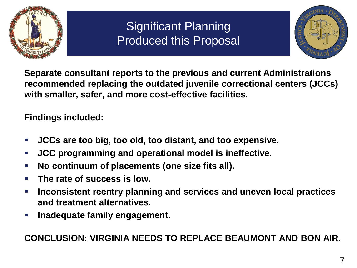

#### Significant Planning Produced this Proposal



**Separate consultant reports to the previous and current Administrations recommended replacing the outdated juvenile correctional centers (JCCs) with smaller, safer, and more cost-effective facilities.** 

**Findings included:**

- **JCCs are too big, too old, too distant, and too expensive.**
- **JCC programming and operational model is ineffective.**
- **No continuum of placements (one size fits all).**
- **The rate of success is low.**
- **Inconsistent reentry planning and services and uneven local practices and treatment alternatives.**
- **Fig. 1.5 Inadequate family engagement.**

**CONCLUSION: VIRGINIA NEEDS TO REPLACE BEAUMONT AND BON AIR.**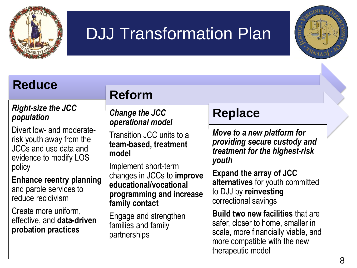

### DJJ Transformation Plan



#### **Reduce**

#### *Right-size the JCC population*

Divert low- and moderaterisk youth away from the JCCs and use data and evidence to modify LOS policy

**Enhance reentry planning**  and parole services to reduce recidivism

Create more uniform, effective, and **data-driven probation practices**

#### **Reform**

*Change the JCC operational model*

Transition JCC units to a **team-based, treatment model**

Implement short-term changes in JCCs to **improve educational/vocational programming and increase family contact**

Engage and strengthen families and family partnerships

#### **Replace**

*Move to a new platform for providing secure custody and treatment for the highest-risk youth*

**Expand the array of JCC alternatives** for youth committed to DJJ by **reinvesting** correctional savings

**Build two new facilities** that are safer, closer to home, smaller in scale, more financially viable, and more compatible with the new therapeutic model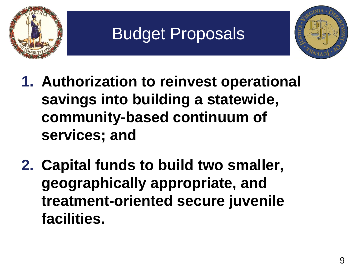

# Budget Proposals



- **1. Authorization to reinvest operational savings into building a statewide, community-based continuum of services; and**
- **2. Capital funds to build two smaller, geographically appropriate, and treatment-oriented secure juvenile facilities.**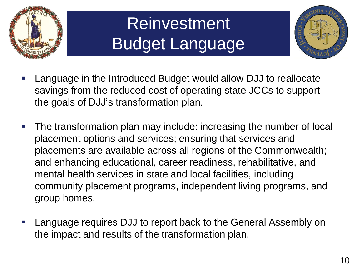

# **Reinvestment** Budget Language



- Language in the Introduced Budget would allow DJJ to reallocate savings from the reduced cost of operating state JCCs to support the goals of DJJ's transformation plan.
- The transformation plan may include: increasing the number of local placement options and services; ensuring that services and placements are available across all regions of the Commonwealth; and enhancing educational, career readiness, rehabilitative, and mental health services in state and local facilities, including community placement programs, independent living programs, and group homes.
- Language requires DJJ to report back to the General Assembly on the impact and results of the transformation plan.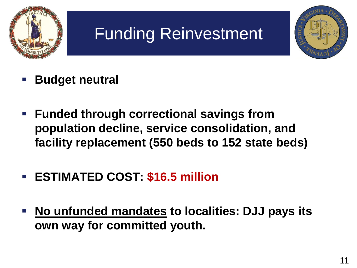

# Funding Reinvestment



- **Budget neutral**
- **Funded through correctional savings from population decline, service consolidation, and facility replacement (550 beds to 152 state beds)**
- **ESTIMATED COST: \$16.5 million**
- **No unfunded mandates to localities: DJJ pays its own way for committed youth.**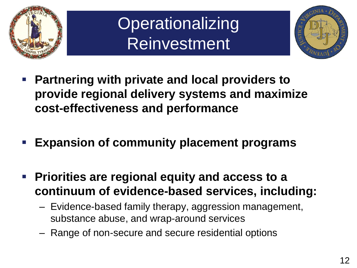

### **Operationalizing Reinvestment**



- **Partnering with private and local providers to provide regional delivery systems and maximize cost-effectiveness and performance**
- **Expansion of community placement programs**
- **Priorities are regional equity and access to a continuum of evidence-based services, including:**
	- Evidence-based family therapy, aggression management, substance abuse, and wrap-around services
	- Range of non-secure and secure residential options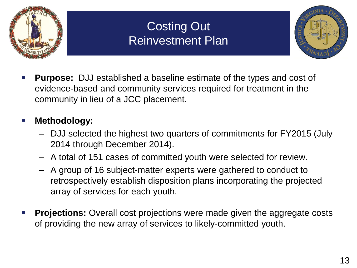

#### Costing Out Reinvestment Plan



 **Purpose:** DJJ established a baseline estimate of the types and cost of evidence-based and community services required for treatment in the community in lieu of a JCC placement.

#### **Methodology:**

- DJJ selected the highest two quarters of commitments for FY2015 (July 2014 through December 2014).
- A total of 151 cases of committed youth were selected for review.
- A group of 16 subject-matter experts were gathered to conduct to retrospectively establish disposition plans incorporating the projected array of services for each youth.
- **Projections:** Overall cost projections were made given the aggregate costs of providing the new array of services to likely-committed youth.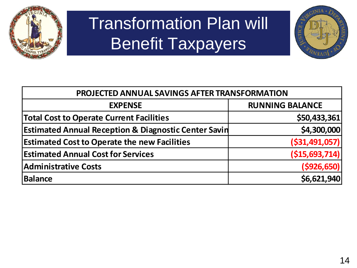

# Transformation Plan will Benefit Taxpayers



| PROJECTED ANNUAL SAVINGS AFTER TRANSFORMATION                   |                        |  |
|-----------------------------------------------------------------|------------------------|--|
| <b>EXPENSE</b>                                                  | <b>RUNNING BALANCE</b> |  |
| <b>Total Cost to Operate Current Facilities</b>                 | \$50,433,361           |  |
| <b>Estimated Annual Reception &amp; Diagnostic Center Savin</b> | \$4,300,000            |  |
| <b>Estimated Cost to Operate the new Facilities</b>             | ( \$31,491,057)        |  |
| <b>Estimated Annual Cost for Services</b>                       | ( \$15,693,714)        |  |
| <b>Administrative Costs</b>                                     | ( \$926, 650)          |  |
| Balance                                                         | \$6,621,940            |  |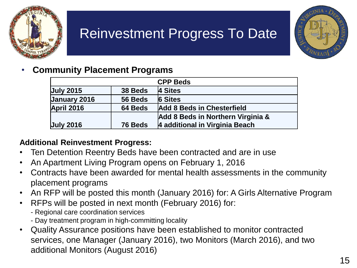

### Reinvestment Progress To Date



#### • **Community Placement Programs**

| <b>CPP Beds</b>   |         |                                   |  |
|-------------------|---------|-----------------------------------|--|
| <b>July 2015</b>  | 38 Beds | 4 Sites                           |  |
| January 2016      | 56 Beds | <b>6 Sites</b>                    |  |
| <b>April 2016</b> | 64 Beds | Add 8 Beds in Chesterfield        |  |
|                   |         | Add 8 Beds in Northern Virginia & |  |
| <b>July 2016</b>  | 76 Beds | 4 additional in Virginia Beach    |  |

#### **Additional Reinvestment Progress:**

- Ten Detention Reentry Beds have been contracted and are in use
- An Apartment Living Program opens on February 1, 2016
- Contracts have been awarded for mental health assessments in the community placement programs
- An RFP will be posted this month (January 2016) for: A Girls Alternative Program
- RFPs will be posted in next month (February 2016) for:
	- Regional care coordination services
	- Day treatment program in high-committing locality
- Quality Assurance positions have been established to monitor contracted services, one Manager (January 2016), two Monitors (March 2016), and two additional Monitors (August 2016)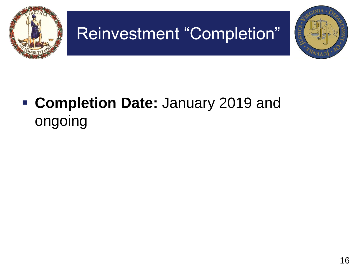

### **Completion Date:** January 2019 and ongoing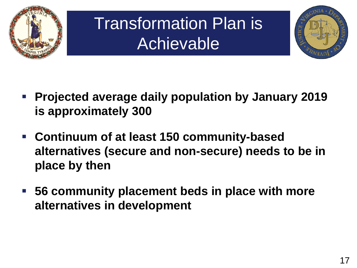

# Transformation Plan is Achievable



- **Projected average daily population by January 2019 is approximately 300**
- **Continuum of at least 150 community-based alternatives (secure and non-secure) needs to be in place by then**
- **56 community placement beds in place with more alternatives in development**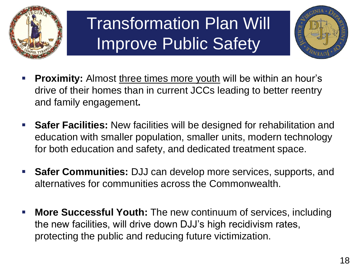

## Transformation Plan Will Improve Public Safety



- **Proximity:** Almost three times more youth will be within an hour's drive of their homes than in current JCCs leading to better reentry and family engagement**.**
- **Safer Facilities:** New facilities will be designed for rehabilitation and education with smaller population, smaller units, modern technology for both education and safety, and dedicated treatment space.
- **Safer Communities:** DJJ can develop more services, supports, and alternatives for communities across the Commonwealth.
- **More Successful Youth:** The new continuum of services, including the new facilities, will drive down DJJ's high recidivism rates, protecting the public and reducing future victimization.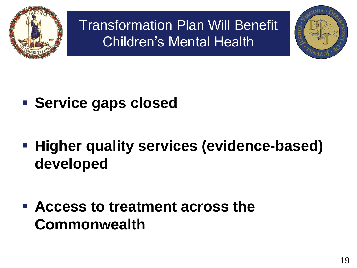

Transformation Plan Will Benefit Children's Mental Health



- **Service gaps closed**
- **Higher quality services (evidence-based) developed**

 **Access to treatment across the Commonwealth**